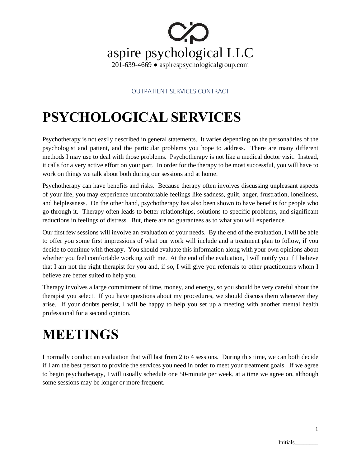

### OUTPATIENT SERVICES CONTRACT

# **PSYCHOLOGICAL SERVICES**

Psychotherapy is not easily described in general statements. It varies depending on the personalities of the psychologist and patient, and the particular problems you hope to address. There are many different methods I may use to deal with those problems. Psychotherapy is not like a medical doctor visit. Instead, it calls for a very active effort on your part. In order for the therapy to be most successful, you will have to work on things we talk about both during our sessions and at home.

Psychotherapy can have benefits and risks. Because therapy often involves discussing unpleasant aspects of your life, you may experience uncomfortable feelings like sadness, guilt, anger, frustration, loneliness, and helplessness. On the other hand, psychotherapy has also been shown to have benefits for people who go through it. Therapy often leads to better relationships, solutions to specific problems, and significant reductions in feelings of distress. But, there are no guarantees as to what you will experience.

Our first few sessions will involve an evaluation of your needs. By the end of the evaluation, I will be able to offer you some first impressions of what our work will include and a treatment plan to follow, if you decide to continue with therapy. You should evaluate this information along with your own opinions about whether you feel comfortable working with me. At the end of the evaluation, I will notify you if I believe that I am not the right therapist for you and, if so, I will give you referrals to other practitioners whom I believe are better suited to help you.

Therapy involves a large commitment of time, money, and energy, so you should be very careful about the therapist you select. If you have questions about my procedures, we should discuss them whenever they arise. If your doubts persist, I will be happy to help you set up a meeting with another mental health professional for a second opinion.

# **MEETINGS**

I normally conduct an evaluation that will last from 2 to 4 sessions. During this time, we can both decide if I am the best person to provide the services you need in order to meet your treatment goals. If we agree to begin psychotherapy, I will usually schedule one 50-minute per week, at a time we agree on, although some sessions may be longer or more frequent.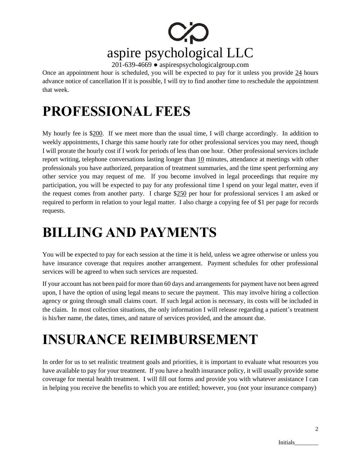

201-639-4669 ● aspirespsychologicalgroup.com

Once an appointment hour is scheduled, you will be expected to pay for it unless you provide 24 hours advance notice of cancellation If it is possible, I will try to find another time to reschedule the appointment that week.

## **PROFESSIONAL FEES**

My hourly fee is \$200. If we meet more than the usual time, I will charge accordingly. In addition to weekly appointments, I charge this same hourly rate for other professional services you may need, though I will prorate the hourly cost if I work for periods of less than one hour. Other professional services include report writing, telephone conversations lasting longer than 10 minutes, attendance at meetings with other professionals you have authorized, preparation of treatment summaries, and the time spent performing any other service you may request of me. If you become involved in legal proceedings that require my participation, you will be expected to pay for any professional time I spend on your legal matter, even if the request comes from another party. I charge \$250 per hour for professional services I am asked or required to perform in relation to your legal matter. I also charge a copying fee of \$1 per page for records requests.

## **BILLING AND PAYMENTS**

You will be expected to pay for each session at the time it is held, unless we agree otherwise or unless you have insurance coverage that requires another arrangement. Payment schedules for other professional services will be agreed to when such services are requested.

If your account has not been paid for more than 60 days and arrangements for payment have not been agreed upon, I have the option of using legal means to secure the payment. This may involve hiring a collection agency or going through small claims court. If such legal action is necessary, its costs will be included in the claim. In most collection situations, the only information I will release regarding a patient's treatment is his/her name, the dates, times, and nature of services provided, and the amount due.

# **INSURANCE REIMBURSEMENT**

In order for us to set realistic treatment goals and priorities, it is important to evaluate what resources you have available to pay for your treatment. If you have a health insurance policy, it will usually provide some coverage for mental health treatment. I will fill out forms and provide you with whatever assistance I can in helping you receive the benefits to which you are entitled; however, you (not your insurance company)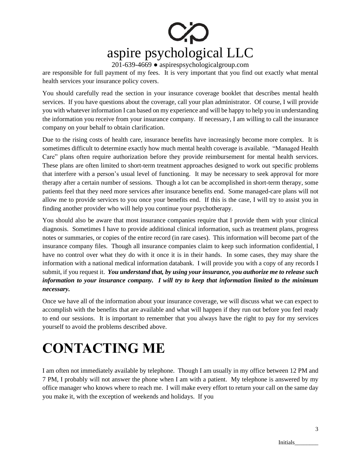

201-639-4669 ● aspirespsychologicalgroup.com

are responsible for full payment of my fees. It is very important that you find out exactly what mental health services your insurance policy covers.

You should carefully read the section in your insurance coverage booklet that describes mental health services. If you have questions about the coverage, call your plan administrator. Of course, I will provide you with whatever information I can based on my experience and will be happy to help you in understanding the information you receive from your insurance company. If necessary, I am willing to call the insurance company on your behalf to obtain clarification.

Due to the rising costs of health care, insurance benefits have increasingly become more complex. It is sometimes difficult to determine exactly how much mental health coverage is available. "Managed Health Care" plans often require authorization before they provide reimbursement for mental health services. These plans are often limited to short-term treatment approaches designed to work out specific problems that interfere with a person's usual level of functioning. It may be necessary to seek approval for more therapy after a certain number of sessions. Though a lot can be accomplished in short-term therapy, some patients feel that they need more services after insurance benefits end. Some managed-care plans will not allow me to provide services to you once your benefits end. If this is the case, I will try to assist you in finding another provider who will help you continue your psychotherapy.

You should also be aware that most insurance companies require that I provide them with your clinical diagnosis. Sometimes I have to provide additional clinical information, such as treatment plans, progress notes or summaries, or copies of the entire record (in rare cases). This information will become part of the insurance company files. Though all insurance companies claim to keep such information confidential, I have no control over what they do with it once it is in their hands. In some cases, they may share the information with a national medical information databank. I will provide you with a copy of any records I submit, if you request it. *You understand that, by using your insurance, you authorize me to release such information to your insurance company. I will try to keep that information limited to the minimum necessary.*

Once we have all of the information about your insurance coverage, we will discuss what we can expect to accomplish with the benefits that are available and what will happen if they run out before you feel ready to end our sessions. It is important to remember that you always have the right to pay for my services yourself to avoid the problems described above.

# **CONTACTING ME**

I am often not immediately available by telephone. Though I am usually in my office between 12 PM and 7 PM, I probably will not answer the phone when I am with a patient. My telephone is answered by my office manager who knows where to reach me. I will make every effort to return your call on the same day you make it, with the exception of weekends and holidays. If you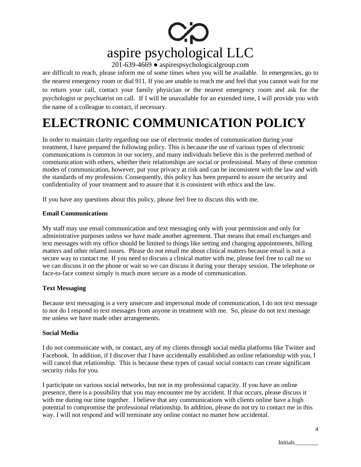

## 201-639-4669 ● aspirespsychologicalgroup.com

are difficult to reach, please inform me of some times when you will be available. In emergencies, go to the nearest emergency room or dial 911. If you are unable to reach me and feel that you cannot wait for me to return your call, contact your family physician or the nearest emergency room and ask for the psychologist or psychiatrist on call. If I will be unavailable for an extended time, I will provide you with the name of a colleague to contact, if necessary.

## **ELECTRONIC COMMUNICATION POLICY**

In order to maintain clarity regarding our use of electronic modes of communication during your treatment, I have prepared the following policy. This is because the use of various types of electronic communications is common in our society, and many individuals believe this is the preferred method of communication with others, whether their relationships are social or professional. Many of these common modes of communication, however, put your privacy at risk and can be inconsistent with the law and with the standards of my profession. Consequently, this policy has been prepared to assure the security and confidentiality of your treatment and to assure that it is consistent with ethics and the law.

If you have any questions about this policy, please feel free to discuss this with me.

### **Email Communications**

My staff may use email communication and text messaging only with your permission and only for administrative purposes unless we have made another agreement. That means that email exchanges and text messages with my office should be limited to things like setting and changing appointments, billing matters and other related issues. Please do not email me about clinical matters because email is not a secure way to contact me. If you need to discuss a clinical matter with me, please feel free to call me so we can discuss it on the phone or wait so we can discuss it during your therapy session. The telephone or face-to-face context simply is much more secure as a mode of communication.

### **Text Messaging**

Because text messaging is a very unsecure and impersonal mode of communication, I do not text message to nor do I respond to text messages from anyone in treatment with me. So, please do not text message me unless we have made other arrangements.

### **Social Media**

I do not communicate with, or contact, any of my clients through social media platforms like Twitter and Facebook. In addition, if I discover that I have accidentally established an online relationship with you, I will cancel that relationship. This is because these types of casual social contacts can create significant security risks for you.

I participate on various social networks, but not in my professional capacity. If you have an online presence, there is a possibility that you may encounter me by accident. If that occurs, please discuss it with me during our time together. I believe that any communications with clients online have a high potential to compromise the professional relationship. In addition, please do not try to contact me in this way. I will not respond and will terminate any online contact no matter how accidental.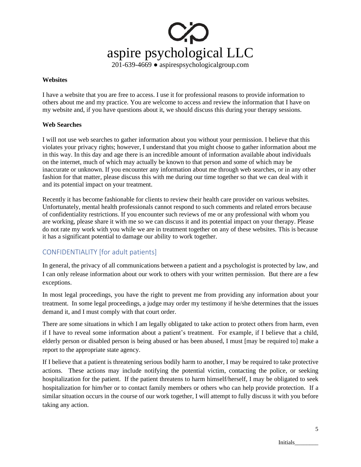

### **Websites**

I have a website that you are free to access. I use it for professional reasons to provide information to others about me and my practice. You are welcome to access and review the information that I have on my website and, if you have questions about it, we should discuss this during your therapy sessions.

#### **Web Searches**

I will not use web searches to gather information about you without your permission. I believe that this violates your privacy rights; however, I understand that you might choose to gather information about me in this way. In this day and age there is an incredible amount of information available about individuals on the internet, much of which may actually be known to that person and some of which may be inaccurate or unknown. If you encounter any information about me through web searches, or in any other fashion for that matter, please discuss this with me during our time together so that we can deal with it and its potential impact on your treatment.

Recently it has become fashionable for clients to review their health care provider on various websites. Unfortunately, mental health professionals cannot respond to such comments and related errors because of confidentiality restrictions. If you encounter such reviews of me or any professional with whom you are working, please share it with me so we can discuss it and its potential impact on your therapy. Please do not rate my work with you while we are in treatment together on any of these websites. This is because it has a significant potential to damage our ability to work together.

### CONFIDENTIALITY [for adult patients]

In general, the privacy of all communications between a patient and a psychologist is protected by law, and I can only release information about our work to others with your written permission. But there are a few exceptions.

In most legal proceedings, you have the right to prevent me from providing any information about your treatment. In some legal proceedings, a judge may order my testimony if he/she determines that the issues demand it, and I must comply with that court order.

There are some situations in which I am legally obligated to take action to protect others from harm, even if I have to reveal some information about a patient's treatment. For example, if I believe that a child, elderly person or disabled person is being abused or has been abused, I must [may be required to] make a report to the appropriate state agency.

If I believe that a patient is threatening serious bodily harm to another, I may be required to take protective actions. These actions may include notifying the potential victim, contacting the police, or seeking hospitalization for the patient. If the patient threatens to harm himself/herself, I may be obligated to seek hospitalization for him/her or to contact family members or others who can help provide protection. If a similar situation occurs in the course of our work together, I will attempt to fully discuss it with you before taking any action.